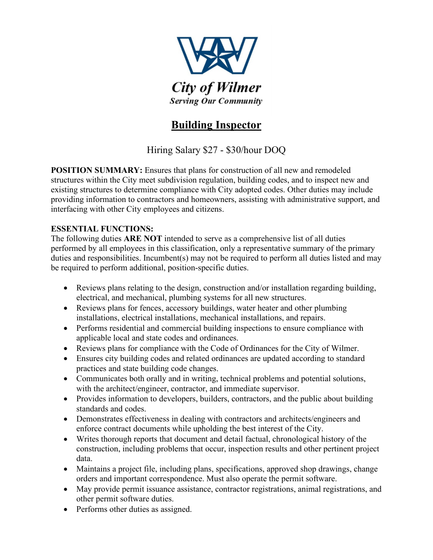

## **Building Inspector**

Hiring Salary \$27 - \$30/hour DOQ

**POSITION SUMMARY:** Ensures that plans for construction of all new and remodeled structures within the City meet subdivision regulation, building codes, and to inspect new and existing structures to determine compliance with City adopted codes. Other duties may include providing information to contractors and homeowners, assisting with administrative support, and interfacing with other City employees and citizens.

## **ESSENTIAL FUNCTIONS:**

The following duties **ARE NOT** intended to serve as a comprehensive list of all duties performed by all employees in this classification, only a representative summary of the primary duties and responsibilities. Incumbent(s) may not be required to perform all duties listed and may be required to perform additional, position-specific duties.

- Reviews plans relating to the design, construction and/or installation regarding building, electrical, and mechanical, plumbing systems for all new structures.
- Reviews plans for fences, accessory buildings, water heater and other plumbing installations, electrical installations, mechanical installations, and repairs.
- Performs residential and commercial building inspections to ensure compliance with applicable local and state codes and ordinances.
- Reviews plans for compliance with the Code of Ordinances for the City of Wilmer.
- Ensures city building codes and related ordinances are updated according to standard practices and state building code changes.
- Communicates both orally and in writing, technical problems and potential solutions, with the architect/engineer, contractor, and immediate supervisor.
- Provides information to developers, builders, contractors, and the public about building standards and codes.
- Demonstrates effectiveness in dealing with contractors and architects/engineers and enforce contract documents while upholding the best interest of the City.
- Writes thorough reports that document and detail factual, chronological history of the construction, including problems that occur, inspection results and other pertinent project data.
- Maintains a project file, including plans, specifications, approved shop drawings, change orders and important correspondence. Must also operate the permit software.
- May provide permit issuance assistance, contractor registrations, animal registrations, and other permit software duties.
- Performs other duties as assigned.